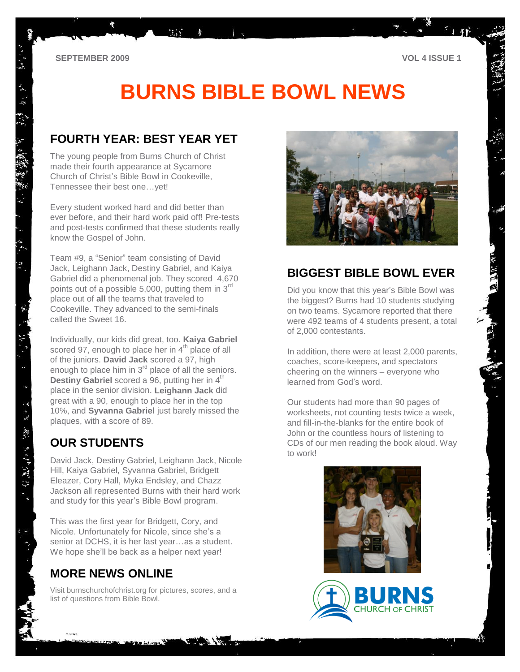# **BURNS BIBLE BOWL NEWS**

## **FOURTH YEAR: BEST YEAR YET**

第5 木

The young people from Burns Church of Christ made their fourth appearance at Sycamore Church of Christ's Bible Bowl in Cookeville, Tennessee their best one…yet!

Every student worked hard and did better than ever before, and their hard work paid off! Pre-tests and post-tests confirmed that these students really know the Gospel of John.

Team #9, a "Senior" team consisting of David Jack, Leighann Jack, Destiny Gabriel, and Kaiya Gabriel did a phenomenal job. They scored 4,670 points out of a possible 5,000, putting them in  $3<sup>rd</sup>$ place out of **all** the teams that traveled to Cookeville. They advanced to the semi-finals called the Sweet 16.

Individually, our kids did great, too. **Kaiya Gabriel** scored 97, enough to place her in  $4<sup>th</sup>$  place of all of the juniors. **David Jack** scored a 97, high enough to place him in  $3<sup>rd</sup>$  place of all the seniors. **Destiny Gabriel** scored a 96, putting her in 4<sup>th</sup> place in the senior division. **Leighann Jack** did great with a 90, enough to place her in the top 10%, and **Syvanna Gabriel** just barely missed the plaques, with a score of 89.

# **OUR STUDENTS**

 $\ddot{\tilde{z}}$  $\mathcal{R}_{\mathcal{F}}$ 

后课后者: 第

David Jack, Destiny Gabriel, Leighann Jack, Nicole Hill, Kaiya Gabriel, Syvanna Gabriel, Bridgett Eleazer, Cory Hall, Myka Endsley, and Chazz Jackson all represented Burns with their hard work and study for this year's Bible Bowl program.

This was the first year for Bridgett, Cory, and Nicole. Unfortunately for Nicole, since she's a senior at DCHS, it is her last year…as a student. We hope she'll be back as a helper next year!

# **MORE NEWS ONLINE**

Visit burnschurchofchrist.org for pictures, scores, and a list of questions from Bible Bowl.



## **BIGGEST BIBLE BOWL EVER**

Did you know that this year's Bible Bowl was the biggest? Burns had 10 students studying on two teams. Sycamore reported that there were 492 teams of 4 students present, a total of 2,000 contestants.

In addition, there were at least 2,000 parents, coaches, score-keepers, and spectators cheering on the winners – everyone who learned from God's word.

Our students had more than 90 pages of worksheets, not counting tests twice a week, and fill-in-the-blanks for the entire book of John or the countless hours of listening to CDs of our men reading the book aloud. Way to work!



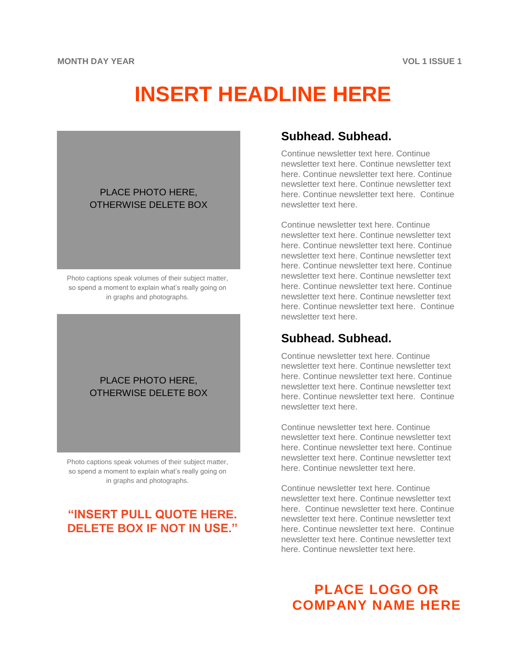# **INSERT HEADLINE HERE**

#### PLACE PHOTO HERE, OTHERWISE DELETE BOX

Photo captions speak volumes of their subject matter, so spend a moment to explain what's really going on in graphs and photographs.

#### PLACE PHOTO HERE, OTHERWISE DELETE BOX

Photo captions speak volumes of their subject matter, so spend a moment to explain what's really going on in graphs and photographs.

# **"INSERT PULL QUOTE HERE. DELETE BOX IF NOT IN USE."**

## **Subhead. Subhead.**

Continue newsletter text here. Continue newsletter text here. Continue newsletter text here. Continue newsletter text here. Continue newsletter text here. Continue newsletter text here. Continue newsletter text here. Continue newsletter text here.

Continue newsletter text here. Continue newsletter text here. Continue newsletter text here. Continue newsletter text here. Continue newsletter text here. Continue newsletter text here. Continue newsletter text here. Continue newsletter text here. Continue newsletter text here. Continue newsletter text here. Continue newsletter text here. Continue newsletter text here. Continue newsletter text here. Continue newsletter text here.

## **Subhead. Subhead.**

Continue newsletter text here. Continue newsletter text here. Continue newsletter text here. Continue newsletter text here. Continue newsletter text here. Continue newsletter text here. Continue newsletter text here. Continue newsletter text here.

Continue newsletter text here. Continue newsletter text here. Continue newsletter text here. Continue newsletter text here. Continue newsletter text here. Continue newsletter text here. Continue newsletter text here.

Continue newsletter text here. Continue newsletter text here. Continue newsletter text here. Continue newsletter text here. Continue newsletter text here. Continue newsletter text here. Continue newsletter text here. Continue newsletter text here. Continue newsletter text here. Continue newsletter text here.

# **PLACE LOGO OR COMPANY NAME HERE**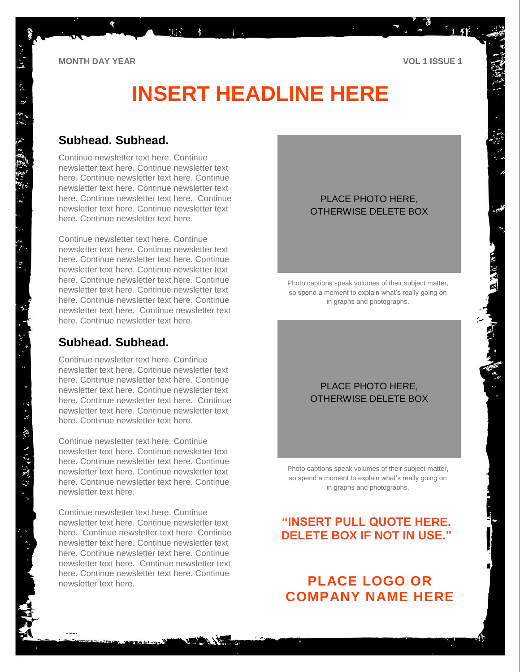# **INSERT HEADLINE HERE**

### **Subhead. Subhead.**

Continue newsletter text here. Continue newsletter text here. Continue newsletter text here. Continue newsletter text here. Continue newsletter text here. Continue newsletter text here. Continue newsletter text here. Continue newsletter text here. Continue newsletter text here. Continue newsletter text here.

 $7.35 - 12.5$ 

 $\star$ 

Continue newsletter text here. Continue newsletter text here. Continue newsletter text here. Continue newsletter text here. Continue newsletter text here. Continue newsletter text here. Continue newsletter text here. Continue newsletter text here. Continue newsletter text here. Continue newsletter text here. Continue newsletter text here. Continue newsletter text here. Continue newsletter text here.

## **Subhead. Subhead.**

Continue newsletter text here. Continue newsletter text here. Continue newsletter text here. Continue newsletter text here. Continue newsletter text here. Continue newsletter text here. Continue newsletter text here. Continue newsletter text here. Continue newsletter text here. Continue newsletter text here.

Continue newsletter text here. Continue newsletter text here. Continue newsletter text here. Continue newsletter text here. Continue newsletter text here. Continue newsletter text here. Continue newsletter text here. Continue newsletter text here.

Continue newsletter text here. Continue newsletter text here. Continue newsletter text here. Continue newsletter text here. Continue newsletter text here. Continue newsletter text here. Continue newsletter text here. Continue newsletter text here. Continue newsletter text here. Continue newsletter text here. Continue newsletter text here.

### PLACE PHOTO HERE, OTHERWISE DELETE BOX

Photo captions speak volumes of their subject matter, so spend a moment to explain what's really going on in graphs and photographs.

### PLACE PHOTO HERE, OTHERWISE DELETE BOX

Photo captions speak volumes of their subject matter, so spend a moment to explain what's really going on in graphs and photographs.

## **"INSERT PULL QUOTE HERE. DELETE BOX IF NOT IN USE."**

# **PLACE LOGO OR COMPANY NAME HERE**